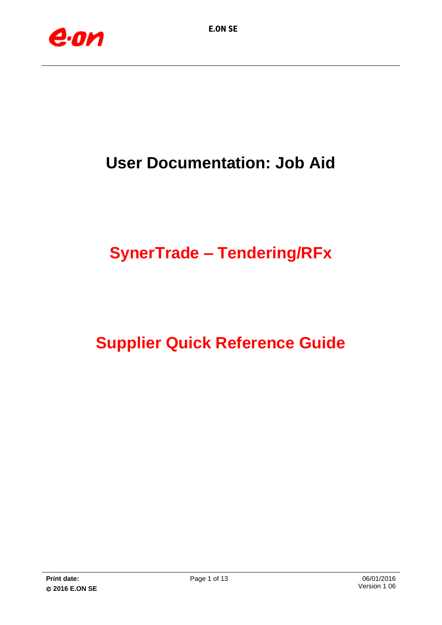

## **User Documentation: Job Aid**

# **SynerTrade – Tendering/RFx**

## **Supplier Quick Reference Guide**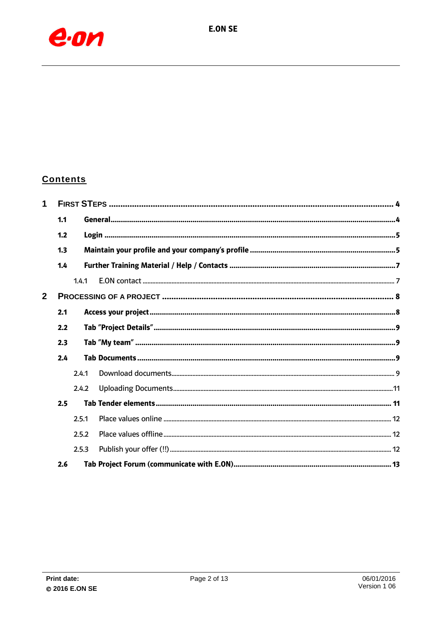

### **Contents**

| 1            |     |       |  |  |  |  |  |  |
|--------------|-----|-------|--|--|--|--|--|--|
|              | 1.1 |       |  |  |  |  |  |  |
|              | 1.2 |       |  |  |  |  |  |  |
|              | 1.3 |       |  |  |  |  |  |  |
|              | 1.4 |       |  |  |  |  |  |  |
|              |     | 1.4.1 |  |  |  |  |  |  |
| $\mathbf{2}$ |     |       |  |  |  |  |  |  |
|              | 2.1 |       |  |  |  |  |  |  |
|              | 2.2 |       |  |  |  |  |  |  |
|              | 2.3 |       |  |  |  |  |  |  |
|              | 2.4 |       |  |  |  |  |  |  |
|              |     | 2.4.1 |  |  |  |  |  |  |
|              |     | 2.4.2 |  |  |  |  |  |  |
|              | 2.5 |       |  |  |  |  |  |  |
|              |     | 2.5.1 |  |  |  |  |  |  |
|              |     | 2.5.2 |  |  |  |  |  |  |
|              |     | 2.5.3 |  |  |  |  |  |  |
|              | 2.6 |       |  |  |  |  |  |  |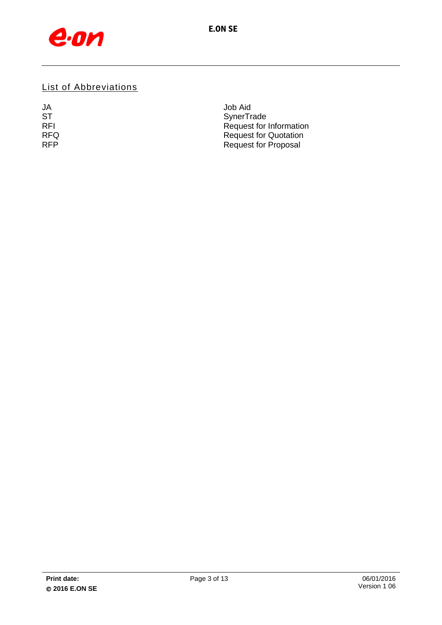

## List of Abbreviations

| JA         | Job Aid                      |
|------------|------------------------------|
| <b>ST</b>  | SynerTrade                   |
| <b>RFI</b> | Request for Information      |
| <b>RFQ</b> | <b>Request for Quotation</b> |
| <b>RFP</b> | <b>Request for Proposal</b>  |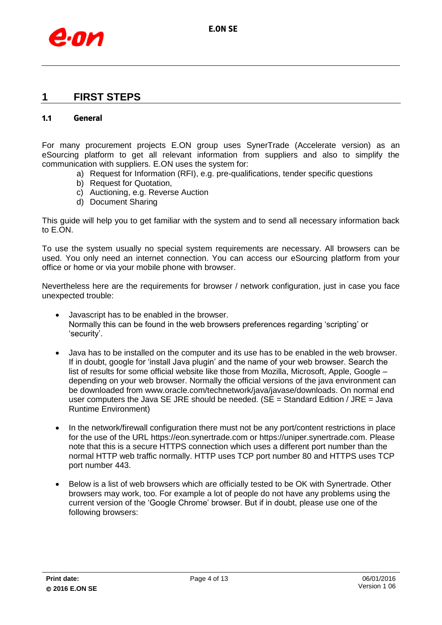

## <span id="page-3-0"></span>**1 FIRST STEPS**

#### <span id="page-3-1"></span>**1.1 General**

For many procurement projects E.ON group uses SynerTrade (Accelerate version) as an eSourcing platform to get all relevant information from suppliers and also to simplify the communication with suppliers. E.ON uses the system for:

- a) Request for Information (RFI), e.g. pre-qualifications, tender specific questions
- b) Request for Quotation,
- c) Auctioning, e.g. Reverse Auction
- d) Document Sharing

This guide will help you to get familiar with the system and to send all necessary information back to E.ON.

To use the system usually no special system requirements are necessary. All browsers can be used. You only need an internet connection. You can access our eSourcing platform from your office or home or via your mobile phone with browser.

Nevertheless here are the requirements for browser / network configuration, just in case you face unexpected trouble:

- Javascript has to be enabled in the browser. Normally this can be found in the web browsers preferences regarding 'scripting' or 'security'.
- Java has to be installed on the computer and its use has to be enabled in the web browser. If in doubt, google for 'install Java plugin' and the name of your web browser. Search the list of results for some official website like those from Mozilla, Microsoft, Apple, Google – depending on your web browser. Normally the official versions of the java environment can be downloaded from [www.oracle.com/technetwork/java/javase/downloads.](http://www.oracle.com/technetwork/java/javase/downloads) On normal end user computers the Java SE JRE should be needed. (SE = Standard Edition / JRE = Java Runtime Environment)
- In the network/firewall configuration there must not be any port/content restrictions in place for the use of the URL [https://eon.synertrade.com](https://eon.synertrade.com/) or https://uniper.synertrade.com. Please note that this is a secure HTTPS connection which uses a different port number than the normal HTTP web traffic normally. HTTP uses TCP port number 80 and HTTPS uses TCP port number 443.
- Below is a list of web browsers which are officially tested to be OK with Synertrade. Other browsers may work, too. For example a lot of people do not have any problems using the current version of the 'Google Chrome' browser. But if in doubt, please use one of the following browsers: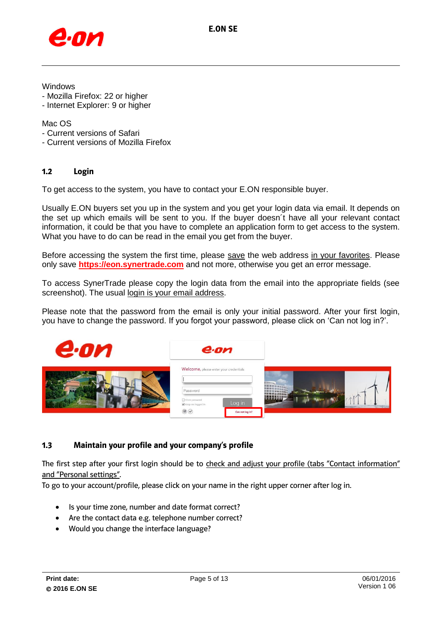

Windows

- Mozilla Firefox: 22 or higher
- Internet Explorer: 9 or higher

#### Mac OS

- Current versions of Safari
- Current versions of Mozilla Firefox

#### <span id="page-4-0"></span>**1.2 Login**

To get access to the system, you have to contact your E.ON responsible buyer.

Usually E.ON buyers set you up in the system and you get your login data via email. It depends on the set up which emails will be sent to you. If the buyer doesn´t have all your relevant contact information, it could be that you have to complete an application form to get access to the system. What you have to do can be read in the email you get from the buyer.

Before accessing the system the first time, please save the web address in your favorites. Please only save **[https://eon.synertrade.com](https://eon.synertrade.com/)** and not more, otherwise you get an error message.

To access SynerTrade please copy the login data from the email into the appropriate fields (see screenshot). The usual login is your email address.

Please note that the password from the email is only your initial password. After your first login, you have to change the password. If you forgot your password, please click on 'Can not log in?'.



#### <span id="page-4-1"></span>**1.3 Maintain your profile and your company's profile**

The first step after your first login should be to check and adjust your profile (tabs "Contact information" and "Personal settings".

To go to your account/profile, please click on your name in the right upper corner after log in.

- Is your time zone, number and date format correct?
- Are the contact data e.g. telephone number correct?
- Would you change the interface language?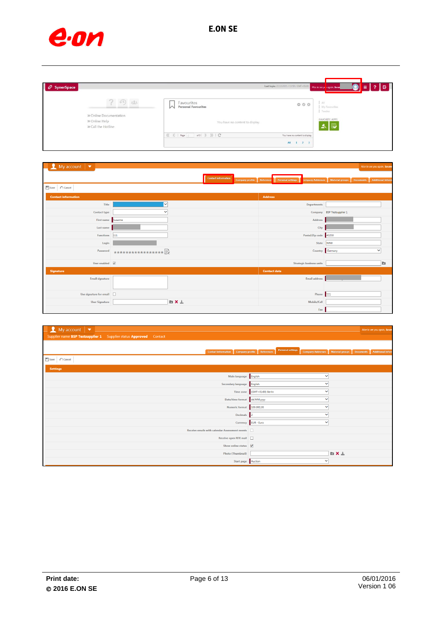

| $\overline{P}$ SynerSpace |                                                 |                                                                                                                                                                     | Last login: 22.12.2015 / 13:50 / GMT+0140 Nice to see ye ragain, Susar | 16<br>$\equiv$                                         |
|---------------------------|-------------------------------------------------|---------------------------------------------------------------------------------------------------------------------------------------------------------------------|------------------------------------------------------------------------|--------------------------------------------------------|
|                           | 4011<br>» Online Documentation<br>» Online Help | Favourites<br><b>Personal Favourites</b><br>M                                                                                                                       | $\circ \circ \circ$                                                    | AII<br>My Favourites<br>Tender<br><b>FAVORITE APPS</b> |
|                           | » Call the Hotline                              | You have no content to display.<br>$\left(\left\{\begin{array}{ccc} & & \\ & & \end{array}\right $ Page ( $\qquad$ of 0 $\qquad$ ) $\qquad$ ) $\qquad$ ( $\qquad$ ) | You have no content to display.<br>All<br>$1 \t2 \t3$                  | 太田                                                     |

| $\blacksquare$ My account $\blacksquare$ |                                 |              |                            |                     |                                             |                                                    |                            | Nice to see you again, Susant |
|------------------------------------------|---------------------------------|--------------|----------------------------|---------------------|---------------------------------------------|----------------------------------------------------|----------------------------|-------------------------------|
|                                          |                                 |              | <b>Contact information</b> |                     | Company profile Reference Personal settings | <b>Company Addresses</b> Material groups Documents |                            | <b>Additional Inform</b>      |
| $\Box$ Save<br>$\curvearrowleft$ Cancel  |                                 |              |                            |                     |                                             |                                                    |                            |                               |
| <b>Contact information</b>               |                                 |              |                            | <b>Address</b>      |                                             |                                                    |                            |                               |
| Title                                    | $\overline{\mathbf{v}}$         |              |                            |                     |                                             | <b>Departments</b>                                 |                            |                               |
| <b>Contact type</b>                      | $\checkmark$                    |              |                            |                     |                                             |                                                    | Company BSP Testsupplier 1 |                               |
| First name Susanne                       |                                 |              |                            |                     |                                             | Address                                            |                            |                               |
| Last name                                |                                 |              |                            |                     |                                             | City                                               |                            |                               |
| <b>Functions</b>                         | $111$                           |              |                            |                     |                                             | Postal/Zip code 43230                              |                            |                               |
| Login                                    |                                 |              |                            |                     |                                             | State                                              | NRW                        |                               |
| Password                                 | ****************** <sup>}</sup> |              |                            |                     |                                             | Country                                            | Germany                    | $\checkmark$                  |
| User enabled $\overline{\mathsf{v}}$     |                                 |              |                            |                     |                                             | <b>Strategic business units</b>                    |                            | b.                            |
| <b>Signature</b>                         |                                 |              |                            | <b>Contact data</b> |                                             |                                                    |                            |                               |
| <b>Email signature</b>                   |                                 |              |                            |                     |                                             | Email address                                      |                            |                               |
| Use signature for email                  |                                 |              |                            |                     |                                             | Phone 111                                          |                            |                               |
| <b>User Signature</b>                    |                                 | <b>DIX</b> ± |                            |                     |                                             | Mobile/Cell                                        |                            |                               |
|                                          |                                 |              |                            |                     |                                             | Fax                                                |                            |                               |

| $\frac{1}{2}$ My account $\frac{1}{2}$<br>Supplier name BSP Testsupplier 1 Supplier status Approved Contact | Nice to see you again, Susan                                                                                           |
|-------------------------------------------------------------------------------------------------------------|------------------------------------------------------------------------------------------------------------------------|
| <b>Contact information</b><br>Company profile                                                               | <b>Personal settings</b><br>Material groups<br>Documents   Additional Inform<br>References<br><b>Company Addresses</b> |
| $\Box$ Save $\Box$ Cancel                                                                                   |                                                                                                                        |
| <b>Settings</b>                                                                                             |                                                                                                                        |
| Main language English                                                                                       | $\checkmark$                                                                                                           |
| Secondary language English                                                                                  | ◡                                                                                                                      |
|                                                                                                             | Time zone (GMT+01:00) Berlin<br>$\checkmark$                                                                           |
| Date/time format dd.MM.yyyy                                                                                 | $\checkmark$                                                                                                           |
| Numeric format 100.000,36                                                                                   | $\checkmark$                                                                                                           |
| Decimals 2                                                                                                  | $\checkmark$                                                                                                           |
|                                                                                                             | Currency EUR - Euro<br>$\checkmark$                                                                                    |
| Receive emails with calendar Assessment events                                                              |                                                                                                                        |
| Receive open RFX mail                                                                                       |                                                                                                                        |
| Show online status $\overline{\mathsf{v}}$                                                                  |                                                                                                                        |
| <b>Photo (Thumbnail)</b>                                                                                    | <b>h</b> X ±                                                                                                           |
| Start page Auction                                                                                          | $\checkmark$                                                                                                           |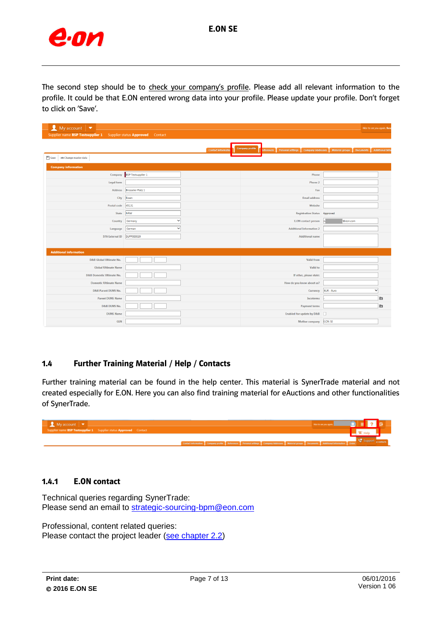

The second step should be to check your company's profile. Please add all relevant information to the profile. It could be that E.ON entered wrong data into your profile. Please update your profile. Don't forget to click on 'Save'.

| My account<br>$\overline{\phantom{a}}$   |                                  |                            |                                                                                    | Nice to see you again, Sus                                           |
|------------------------------------------|----------------------------------|----------------------------|------------------------------------------------------------------------------------|----------------------------------------------------------------------|
| Supplier name BSP Testsupplier 1         | Supplier status Approved Contact |                            |                                                                                    |                                                                      |
| Save<br><sup>18</sup> Change master data |                                  | <b>Contact information</b> | <b>Company profile</b><br>teferences Personal settings<br><b>Company Addresses</b> | <b>Material groups</b><br><b>Additional Info</b><br><b>Documents</b> |
| <b>Company information</b>               |                                  |                            |                                                                                    |                                                                      |
| Company                                  | <b>BSP Testsupplier 1</b>        |                            | Phone                                                                              |                                                                      |
| Legal form                               |                                  |                            | Phone 2                                                                            |                                                                      |
| Address                                  | <b>Brüsseler Platz 1</b>         |                            | Fax                                                                                |                                                                      |
| City                                     | Essen                            |                            | <b>Email address</b>                                                               |                                                                      |
| Postal code                              | 45131                            |                            | Website                                                                            |                                                                      |
| State                                    | <b>NRW</b>                       |                            | Registration Status Approved                                                       |                                                                      |
| Country                                  | $\checkmark$<br>Germany          |                            | <b>E.ON</b> contact person                                                         | @eon.com                                                             |
| Language                                 | German<br>v                      |                            | <b>Additional Information 2</b>                                                    |                                                                      |
| ST6 External ID                          | SUPP000039                       |                            | <b>Additional name</b>                                                             |                                                                      |
| <b>Additional information</b>            |                                  |                            |                                                                                    |                                                                      |
| D&B Global Ultimate No.                  |                                  |                            | <b>Valid from</b>                                                                  |                                                                      |
| <b>Global Ultimate Name</b>              |                                  |                            | Valid to                                                                           |                                                                      |
| D&B Domestic Ultimate No.                |                                  |                            | If other, please state:                                                            |                                                                      |
| <b>Domestic Ultimate Name</b>            |                                  |                            | How do you know about us?                                                          |                                                                      |
| D&B Parent DUNS No.                      |                                  |                            | Currency                                                                           | EUR - Euro<br>v                                                      |
| <b>Parent DUNS Name</b>                  |                                  |                            | Incoterms                                                                          | D.                                                                   |
| <b>D&amp;B DUNS No.</b>                  |                                  |                            | <b>Payment terms</b>                                                               | <b>D</b>                                                             |
| <b>DUNS Name</b>                         |                                  |                            | Enabled for update by D&B                                                          |                                                                      |
| <b>GLN</b>                               |                                  |                            | Mother company                                                                     | <b>E.ON SE</b>                                                       |

#### <span id="page-6-2"></span><span id="page-6-0"></span>**1.4 Further Training Material / Help / Contacts**

Further training material can be found in the help center. This material is SynerTrade material and not created especially for E.ON. Here you can also find training material for eAuctions and other functionalities of SynerTrade.



#### <span id="page-6-1"></span>**1.4.1 E.ON contact**

Technical queries regarding SynerTrade: Please send an email to [strategic-sourcing-bpm@eon.com](mailto:strategic-sourcing-bpm@eon.com)

Professional, content related queries: Please contact the project leader [\(see chapter 2.2\)](#page-8-0)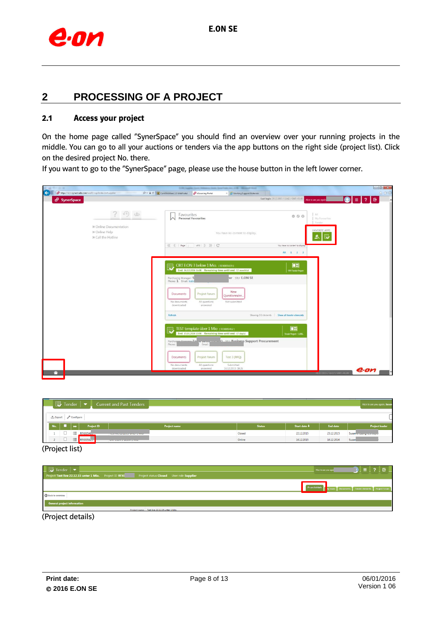

## <span id="page-7-0"></span>**2 PROCESSING OF A PROJECT**

#### <span id="page-7-1"></span>**2.1 Access your project**

On the home page called "SynerSpace" you should find an overview over your running projects in the middle. You can go to all your auctions or tenders via the app buttons on the right side (project list). Click on the desired project No. there.

If you want to go to the "SynerSpace" page, please use the house button in the left lower corner.

|                                                                        | and Southeast Art 110 - Million Fried<br><b>START CARDS</b>                                            |                                                 |            |
|------------------------------------------------------------------------|--------------------------------------------------------------------------------------------------------|-------------------------------------------------|------------|
| $\leftarrow$<br>https://eon.synertrade.com/wui32/ssp/index.do#supplier | $D = \hat{m} C$ (iii) ComAssistant 2.0 WebPortal<br>eSourcing Portal<br>X Working Support Materials    | Last login: 28.12.2015 / 13:42 / GMT +01:00     | 命食商        |
| <b>d</b> SynerSpace                                                    |                                                                                                        | Nice to see you again,                          | ?  E <br>目 |
| 284<br>$(1 - 1)$                                                       | Favourites<br><b>Personal Favourites</b><br>ᅛ                                                          | 1.41<br>000<br>My Favourites                    |            |
| » Online Documentation                                                 |                                                                                                        | Tender                                          |            |
| » Online Help                                                          | You have no content to display.                                                                        | <b>FAVORITE APPS</b>                            |            |
| » Call the Hotline                                                     |                                                                                                        | 圜<br>≛                                          |            |
|                                                                        | of 0   )   )   C'                                                                                      | You have no content to display                  |            |
|                                                                        |                                                                                                        | All 1 2 3                                       |            |
|                                                                        |                                                                                                        |                                                 |            |
|                                                                        | ORT EON 3 below 1 Mio. (REX005429)                                                                     | $\Box$                                          |            |
|                                                                        | $\mathbb{D}$<br>End: 16.12.2016 16:00 Remaining time until end: 12 month(s)                            | <b>RFX Tender Project</b>                       |            |
|                                                                        | er SBU: E.ON SE<br>Purchasing Manager: S<br>Phone: 1 Email: SUSC                                       |                                                 |            |
|                                                                        |                                                                                                        |                                                 |            |
|                                                                        | New                                                                                                    |                                                 |            |
|                                                                        | Project forum<br>Documents<br>Questionnaire                                                            |                                                 |            |
|                                                                        | Not submitted<br>No documents<br>All questions<br>downloaded<br>answered                               |                                                 |            |
|                                                                        |                                                                                                        |                                                 |            |
|                                                                        | Refresh                                                                                                | Showing 3/3 elements   Show all tender elements |            |
|                                                                        |                                                                                                        |                                                 |            |
|                                                                        | TEST template über 1 Mio (RFX005412)<br>囤<br>End: 15.01.2016 13:00 Remaining time until end: 17 day(s) | $\Box$                                          |            |
|                                                                        |                                                                                                        | Tender Project > 1.000.                         |            |
|                                                                        | Purchasing Manager Ta<br>r) SRLE Business Support Procurement<br>Email:<br>Phone:                      |                                                 |            |
|                                                                        |                                                                                                        |                                                 |            |
|                                                                        | Project forum<br>Test 3 (RFQ)<br><b>Documents</b>                                                      |                                                 |            |
|                                                                        | Submitted<br>No documents<br>All questions                                                             |                                                 |            |
|                                                                        | downloaded<br>16.12.2015 18:26<br>answered                                                             | TRE2.2015 / 14:17 / GMT - 01:0                  | e.on       |
|                                                                        |                                                                                                        |                                                 |            |

|                              |     | $\overline{\mathbb{D}}$ Tender |                   |                   | <b>Current and Past Tenders</b>            |                     |               |              |                 | Nice to see you again, Susan |
|------------------------------|-----|--------------------------------|-------------------|-------------------|--------------------------------------------|---------------------|---------------|--------------|-----------------|------------------------------|
| <b>① Export</b><br>Configure |     |                                |                   |                   |                                            |                     |               |              |                 |                              |
|                              | No. |                                | $\leftrightarrow$ | <b>Project ID</b> |                                            | <b>Project name</b> | <b>Status</b> | Start date + | <b>End date</b> | <b>Project leader</b>        |
|                              |     | ◡                              | 這                 | RFX00540          |                                            |                     | Closed        | 22.12.2015   | 23.12.2015      | Susan Colorado and Colorado  |
|                              |     | $\Box$                         |                   | $\equiv$ RFX0054. | <b>THE R. P. LEWIS CO., LANSING, MICH.</b> |                     | Online        | 16.12.2015   | 16.12.2016      | Susan                        |

(Project list)

| $\Box$ Tender $\vert \bullet \vert$<br>Project Test live 22.12.15 unter 1 Mio. Project ID RFX | Project status Closed User role Supplier | $0$ i = 1 ? i g $\Box$<br>Nice to see you agai                      |
|-----------------------------------------------------------------------------------------------|------------------------------------------|---------------------------------------------------------------------|
|                                                                                               |                                          | Project details the dy team Documents Tender elements Project forum |
| <b>3</b> Back to overview                                                                     |                                          |                                                                     |
| General project information                                                                   |                                          |                                                                     |

(Project details)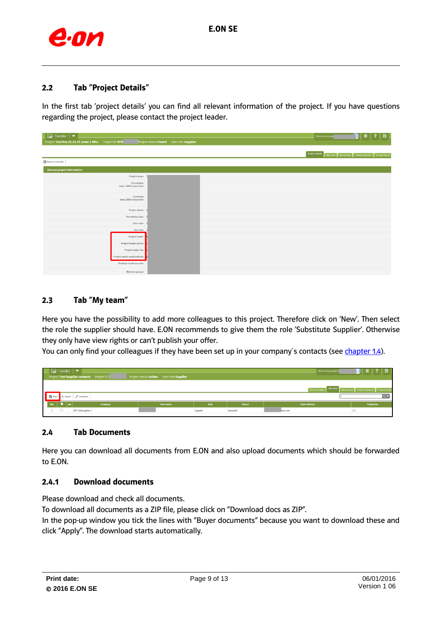

#### <span id="page-8-0"></span>**2.2 Tab "Project Details"**

In the first tab 'project details' you can find all relevant information of the project. If you have questions regarding the project, please contact the project leader.

| $\Box$ Tender $\vert \bullet \vert$                    |                                          | $\equiv$   ?   $\equiv$<br>Nice to see you aga                     |
|--------------------------------------------------------|------------------------------------------|--------------------------------------------------------------------|
| Project Test live 22.12.15 unter 1 Mio. Project ID RFX | Project status Closed User role Supplier |                                                                    |
|                                                        |                                          | Project details<br>My team Documents Tender elements Project forum |
| Back to overview                                       |                                          |                                                                    |
| <b>General project information</b>                     |                                          |                                                                    |
| Project name                                           |                                          |                                                                    |
| Description<br>(max. 2000 characters)                  |                                          |                                                                    |
| Comment<br>(max.2000 characters)                       |                                          |                                                                    |
| <b>Project status</b>                                  |                                          |                                                                    |
| Remaining days                                         |                                          |                                                                    |
| Start date                                             |                                          |                                                                    |
| End date                                               |                                          |                                                                    |
| <b>Project leader</b>                                  |                                          |                                                                    |
| Project leader phone                                   |                                          |                                                                    |
| Project leader fax                                     |                                          |                                                                    |
| Project leader email address                           |                                          |                                                                    |
| Strategic business units                               |                                          |                                                                    |
| Material groups                                        |                                          |                                                                    |

#### <span id="page-8-1"></span>**2.3 Tab "My team"**

Here you have the possibility to add more colleagues to this project. Therefore click on 'New'. Then select the role the supplier should have. E.ON recommends to give them the role 'Substitute Supplier'. Otherwise they only have view rights or can't publish your offer.

You can only find your colleagues if they have been set up in your company's contacts (se[e chapter 1.4\)](#page-6-2).

| $\Box$ Tender $\Box$                              |        |              |                                             |         |  |                                          |          |               | Nice to see you again, !                                        | ? I G     |
|---------------------------------------------------|--------|--------------|---------------------------------------------|---------|--|------------------------------------------|----------|---------------|-----------------------------------------------------------------|-----------|
|                                                   |        |              | Project Test Supplier contacts Project ID I |         |  | Project status Online User role Supplier |          |               |                                                                 |           |
|                                                   |        |              |                                             |         |  |                                          |          |               |                                                                 |           |
|                                                   |        |              |                                             |         |  |                                          |          |               | Project details My team Documents Tender elements Project forum |           |
| q <br><b>B</b> New<br><b>む Export</b> / Configure |        |              |                                             |         |  |                                          |          |               |                                                                 |           |
| No.                                               |        | <b>. .</b> . |                                             | Company |  | <b>User name</b>                         | Role     | <b>Status</b> | <b>Email address</b>                                            | Telephone |
|                                                   | $\Box$ |              | <b>BSP Testsupplier 1</b>                   |         |  |                                          | Supplier | Accepted      | leon.com                                                        | 111       |
|                                                   |        |              |                                             |         |  |                                          |          |               |                                                                 |           |

#### <span id="page-8-2"></span>**2.4 Tab Documents**

Here you can download all documents from E.ON and also upload documents which should be forwarded to E.ON.

#### <span id="page-8-3"></span>**2.4.1 Download documents**

Please download and check all documents.

To download all documents as a ZIP file, please click on "Download docs as ZIP".

In the pop-up window you tick the lines with "Buyer documents" because you want to download these and click "Apply". The download starts automatically.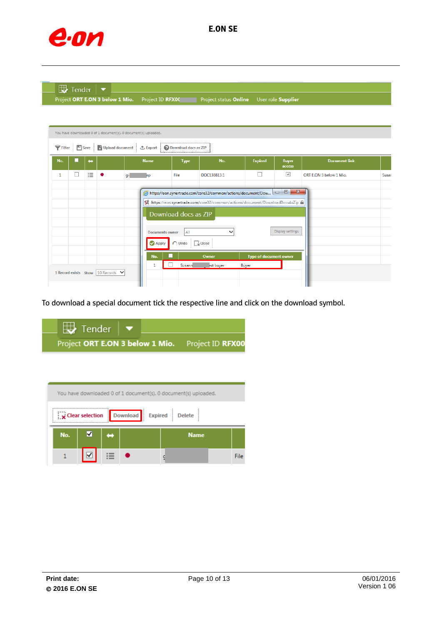

| $\mathbb{R}$ Tender |  |
|---------------------|--|
|---------------------|--|

Project ORT E.ON 3 below 1 Mio. Project ID RFX00 Project status Online User role Supplier

|                           | You have downloaded 0 of 1 document(s). 0 document(s) uploaded. |                   |                                   |                                                    |                                                                                      |                                                                                                                                                                                       |                                        |                                                                                       |                         |       |  |
|---------------------------|-----------------------------------------------------------------|-------------------|-----------------------------------|----------------------------------------------------|--------------------------------------------------------------------------------------|---------------------------------------------------------------------------------------------------------------------------------------------------------------------------------------|----------------------------------------|---------------------------------------------------------------------------------------|-------------------------|-------|--|
| $\bigtriangledown$ Filter |                                                                 |                   |                                   | <b>■ Save → Upload document</b> → Export           | <b>Download docs as ZIP</b>                                                          |                                                                                                                                                                                       |                                        |                                                                                       |                         |       |  |
| No.                       |                                                                 | $\leftrightarrow$ |                                   | <b>Name</b>                                        | <b>Type</b>                                                                          | No.                                                                                                                                                                                   | <b>Expired</b>                         | <b>Buyer</b><br>access                                                                | <b>Document link</b>    |       |  |
| 1                         | ப                                                               | 這                 |                                   | gir<br>١Ď                                          | File                                                                                 | DOC138813.1                                                                                                                                                                           | ×.                                     | ☑                                                                                     | ORT E.ON 3 below 1 Mio. | Susar |  |
|                           |                                                                 |                   | 1 Record exists Show 10 Records V | <b>Documents owner</b><br><b>Apply</b><br>No.<br>1 | Download docs as ZIP<br>All<br>$\bigcap$ Undo $\bigcap_{\mathbf{x}}$ Close<br>Susann | https://eon.synertrade.com/core32/common/actions/document/Dow<br>St https://eon.synertrade.com/core32/common/actions/document/DownloadDocsAsZip<br>$\checkmark$<br>Owner<br>est buyer | <b>Type of document owner</b><br>Buyer | $\overline{\phantom{a}}$ $\overline{\phantom{a}}$<br>$\mathbf{x}$<br>Display settings |                         |       |  |

To download a special document tick the respective line and click on the download symbol.

| $\Box$ Tender $\Box$                             |  |  |
|--------------------------------------------------|--|--|
| Project ORT E.ON 3 below 1 Mio. Project ID RFX00 |  |  |

| You have downloaded 0 of 1 document(s). 0 document(s) uploaded. |  |  |  |  |  |  |             |  |  |
|-----------------------------------------------------------------|--|--|--|--|--|--|-------------|--|--|
| $\mathbf x$ Clear selection<br>Download Expired Delete          |  |  |  |  |  |  |             |  |  |
| No.<br><b>Name</b><br>∸                                         |  |  |  |  |  |  |             |  |  |
|                                                                 |  |  |  |  |  |  | <b>File</b> |  |  |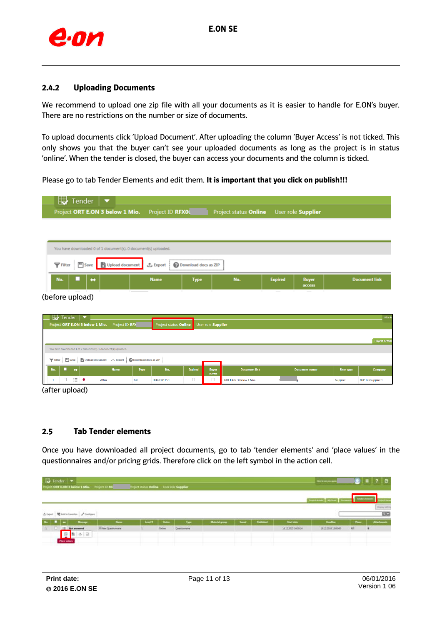

#### <span id="page-10-0"></span>**2.4.2 Uploading Documents**

We recommend to upload one zip file with all your documents as it is easier to handle for E.ON's buyer. There are no restrictions on the number or size of documents.

To upload documents click 'Upload Document'. After uploading the column 'Buyer Access' is not ticked. This only shows you that the buyer can't see your uploaded documents as long as the project is in status 'online'. When the tender is closed, the buyer can access your documents and the column is ticked.

Please go to tab Tender Elements and edit them. **It is important that you click on publish!!!**

| ₩                                           | Tender                                                                             | ▼<br>Project ORT E.ON 3 below 1 Mio.                            | Project ID RFX0L             |                      | Project status Online                          |                | User role Supplier     |           |                           |
|---------------------------------------------|------------------------------------------------------------------------------------|-----------------------------------------------------------------|------------------------------|----------------------|------------------------------------------------|----------------|------------------------|-----------|---------------------------|
|                                             |                                                                                    | You have downloaded 0 of 1 document(s). 0 document(s) uploaded. |                              |                      |                                                |                |                        |           |                           |
| $\mathbf F$ Filter                          | $\Box$ Save                                                                        | Upload document                                                 | <b>む Export</b>              | Download docs as ZIP |                                                |                |                        |           |                           |
| No.                                         | ⇔                                                                                  |                                                                 | <b>Name</b>                  | <b>Type</b>          | No.                                            | <b>Expired</b> | <b>Buyer</b><br>access |           | <b>Document link</b>      |
| (before upload)                             |                                                                                    |                                                                 |                              |                      |                                                | $\sim$         |                        |           |                           |
| ₩<br>Tender                                 | $\blacktriangledown$                                                               |                                                                 |                              |                      |                                                |                |                        |           | Nice to                   |
|                                             | Project ORT E.ON 3 below 1 Mio.                                                    | Project ID RFX                                                  | <b>Project status Online</b> |                      | User role Supplier                             |                |                        |           |                           |
|                                             |                                                                                    |                                                                 |                              |                      |                                                |                |                        |           | <b>Project details</b>    |
| $\bigtriangledown$ Filter<br><b>ED</b> Save | You have downloaded 1 of 2 document(s). 1 document(s) uploaded.<br>Upload document | <b>小 Export</b>                                                 | Download docs as ZIP         |                      |                                                |                |                        |           |                           |
| No.                                         | ⇔                                                                                  | <b>Name</b>                                                     | No.<br><b>Type</b>           | <b>Expired</b>       | <b>Document link</b><br><b>Buyer</b><br>access |                | <b>Document</b> owner  | User type | Company                   |
| □<br>1                                      | 洼<br>٠                                                                             | File<br>Attila                                                  | DOC139115.1                  | $\Box$               | □<br>ORT E.ON 3 below 1 Mio.                   |                |                        | Supplier  | <b>BSP Testsupplier 1</b> |

(after upload)

#### <span id="page-10-1"></span>**2.5 Tab Tender elements**

Once you have downloaded all project documents, go to tab 'tender elements' and 'place values' in the questionnaires and/or pricing grids. Therefore click on the left symbol in the action cell.

| $\mathbb{E}$ Tender $\mathbb{E}$ |                                             | NET ORT E.ON 3 below 1 Mio. Project ID 853              |                             | Voject status Online Literacie Supplier |                |               |                |               |                |                   | <b>We is an you gut</b> |              |                                     |
|----------------------------------|---------------------------------------------|---------------------------------------------------------|-----------------------------|-----------------------------------------|----------------|---------------|----------------|---------------|----------------|-------------------|-------------------------|--------------|-------------------------------------|
|                                  |                                             |                                                         |                             |                                         |                |               |                |               |                |                   | <b>Trend Motor</b>      |              |                                     |
| 2.04                             |                                             | <b>ME</b> And to Forester <b>A</b> Contigues<br>Motorpr | New                         | level 9                                 | <b>Shafter</b> | Type          | Motorial group | <b>Second</b> | Publication of | <b>Start date</b> | <b>Dealer</b>           | <b>These</b> | 四口<br><b><i><u>SHAILWAY</u></i></b> |
|                                  | <b>B</b> Not answered<br><b>Place volum</b> | 原目の目                                                    | <b>If New Questionnaire</b> |                                         | Orline         | Diestionnaire |                |               |                | 16123015143014    | 35132016150000          | 189          | $\bullet$                           |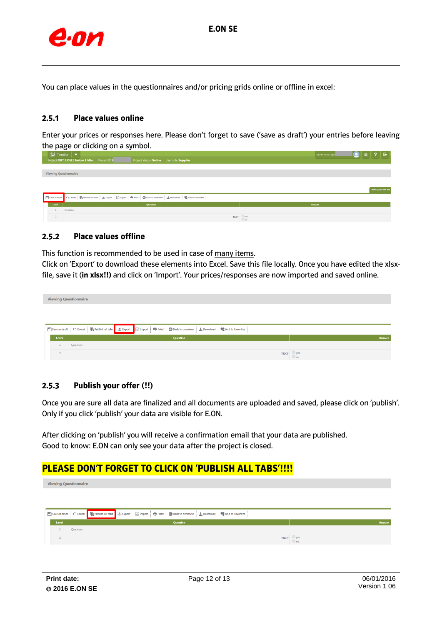

You can place values in the questionnaires and/or pricing grids online or offline in excel:

#### <span id="page-11-0"></span>**2.5.1 Place values online**

Enter your prices or responses here. Please don't forget to save ('save as draft') your entries before leaving the page or clicking on a symbol.

|                              | $\Box$ Tender $\Box$                                                                                                                 | Nice to see you again | $\textcircled{\texttt{}}$ = 1 ? 1 & 1 |
|------------------------------|--------------------------------------------------------------------------------------------------------------------------------------|-----------------------|---------------------------------------|
|                              | Project ORT E.ON 3 below 1 Mio. Project ID R<br>Project status Online User role Supplier                                             |                       |                                       |
|                              |                                                                                                                                      |                       |                                       |
| <b>Viewing Questionnaire</b> |                                                                                                                                      |                       |                                       |
|                              |                                                                                                                                      |                       |                                       |
|                              |                                                                                                                                      |                       |                                       |
|                              |                                                                                                                                      |                       | New Questionnaire                     |
|                              | ■ Save as draft ● ○ Cancel ● Publish all tabs   よ Export   Milmport   中 Print   ● Back to overview   ± Download   ♥ Add to Favorites |                       |                                       |
| Level                        | Question                                                                                                                             | Answer                |                                       |
|                              | Question                                                                                                                             |                       |                                       |
|                              | $T8c7$ $\circledcirc$ yes                                                                                                            |                       |                                       |
|                              |                                                                                                                                      |                       |                                       |

#### <span id="page-11-1"></span>**2.5.2 Place values offline**

This function is recommended to be used in case of many items.

Click on 'Export' to download these elements into Excel. Save this file locally. Once you have edited the xlsxfile, save it (**in xlsx!!)** and click on 'Import'. Your prices/responses are now imported and saved online.

| <b>Viewing Questionnaire</b> |                                                                                                                          |                              |
|------------------------------|--------------------------------------------------------------------------------------------------------------------------|------------------------------|
|                              |                                                                                                                          |                              |
|                              |                                                                                                                          |                              |
|                              | Download Cancel De Publish all tabs & Export De Import   De Print   C Back to overview   ↓ Download   C Add to Favorites |                              |
| Level                        | Question                                                                                                                 | Answer                       |
|                              | Question                                                                                                                 |                              |
| $\overline{2}$               |                                                                                                                          | $T8c$ ? Ves<br>$\bigcirc$ no |

#### <span id="page-11-2"></span>**2.5.3 Publish your offer (!!)**

Once you are sure all data are finalized and all documents are uploaded and saved, please click on 'publish'. Only if you click 'publish' your data are visible for E.ON.

After clicking on 'publish' you will receive a confirmation email that your data are published. Good to know: E.ON can only see your data after the project is closed.

### **PLEASE DON'T FORGET TO CLICK ON 'PUBLISH ALL TABS'!!!!**

**Viewing Questionnaire**  $\Box$  Save as draft  $\Box$   $\bigcap$  Cancel Publish all tabs **C** Export  $\overrightarrow{(\delta)}$  Import **Print G** Back to ov ew  $\frac{1}{2}$  Do Add to Favorites  $\overline{\phantom{a}}$  Level  $\overline{\phantom{a}}$ T&C?  $\bigcirc_{\text{no}}$  yes